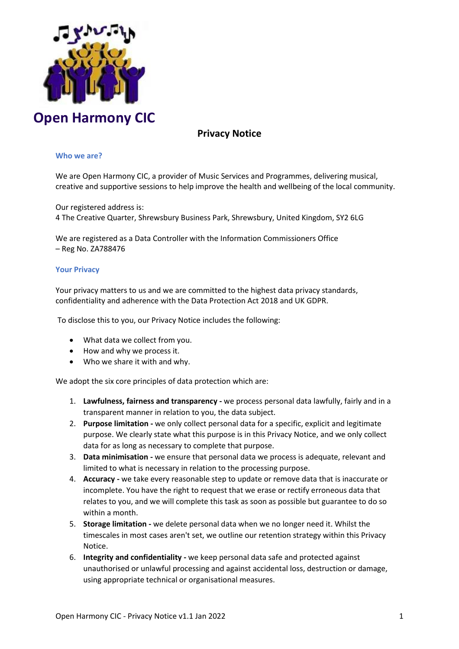

# **Privacy Notice**

# **Who we are?**

We are Open Harmony CIC, a provider of Music Services and Programmes, delivering musical, creative and supportive sessions to help improve the health and wellbeing of the local community.

Our registered address is: 4 The Creative Quarter, Shrewsbury Business Park, Shrewsbury, United Kingdom, SY2 6LG

We are registered as a Data Controller with the Information Commissioners Office – Reg No. ZA788476

#### **Your Privacy**

Your privacy matters to us and we are committed to the highest data privacy standards, confidentiality and adherence with the Data Protection Act 2018 and UK GDPR.

To disclose this to you, our Privacy Notice includes the following:

- What data we collect from you.
- How and why we process it.
- Who we share it with and why.

We adopt the six core principles of data protection which are:

- 1. **Lawfulness, fairness and transparency -** we process personal data lawfully, fairly and in a transparent manner in relation to you, the data subject.
- 2. **Purpose limitation -** we only collect personal data for a specific, explicit and legitimate purpose. We clearly state what this purpose is in this Privacy Notice, and we only collect data for as long as necessary to complete that purpose.
- 3. **Data minimisation -** we ensure that personal data we process is adequate, relevant and limited to what is necessary in relation to the processing purpose.
- 4. **Accuracy -** we take every reasonable step to update or remove data that is inaccurate or incomplete. You have the right to request that we erase or rectify erroneous data that relates to you, and we will complete this task as soon as possible but guarantee to do so within a month.
- 5. **Storage limitation -** we delete personal data when we no longer need it. Whilst the timescales in most cases aren't set, we outline our retention strategy within this Privacy Notice.
- 6. **Integrity and confidentiality -** we keep personal data safe and protected against unauthorised or unlawful processing and against accidental loss, destruction or damage, using appropriate technical or organisational measures.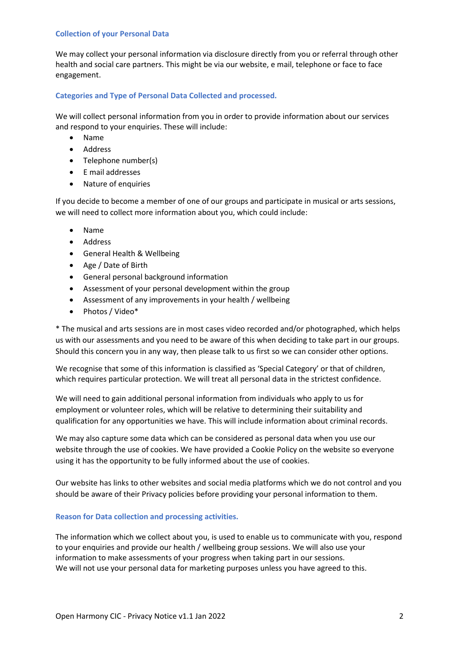#### **Collection of your Personal Data**

We may collect your personal information via disclosure directly from you or referral through other health and social care partners. This might be via our website, e mail, telephone or face to face engagement.

# **Categories and Type of Personal Data Collected and processed.**

We will collect personal information from you in order to provide information about our services and respond to your enquiries. These will include:

- Name
- Address
- Telephone number(s)
- E mail addresses
- Nature of enquiries

If you decide to become a member of one of our groups and participate in musical or arts sessions, we will need to collect more information about you, which could include:

- Name
- Address
- General Health & Wellbeing
- Age / Date of Birth
- General personal background information
- Assessment of your personal development within the group
- Assessment of any improvements in your health / wellbeing
- Photos / Video\*

\* The musical and arts sessions are in most cases video recorded and/or photographed, which helps us with our assessments and you need to be aware of this when deciding to take part in our groups. Should this concern you in any way, then please talk to us first so we can consider other options.

We recognise that some of this information is classified as 'Special Category' or that of children, which requires particular protection. We will treat all personal data in the strictest confidence.

We will need to gain additional personal information from individuals who apply to us for employment or volunteer roles, which will be relative to determining their suitability and qualification for any opportunities we have. This will include information about criminal records.

We may also capture some data which can be considered as personal data when you use our website through the use of cookies. We have provided a Cookie Policy on the website so everyone using it has the opportunity to be fully informed about the use of cookies.

Our website has links to other websites and social media platforms which we do not control and you should be aware of their Privacy policies before providing your personal information to them.

# **Reason for Data collection and processing activities.**

The information which we collect about you, is used to enable us to communicate with you, respond to your enquiries and provide our health / wellbeing group sessions. We will also use your information to make assessments of your progress when taking part in our sessions. We will not use your personal data for marketing purposes unless you have agreed to this.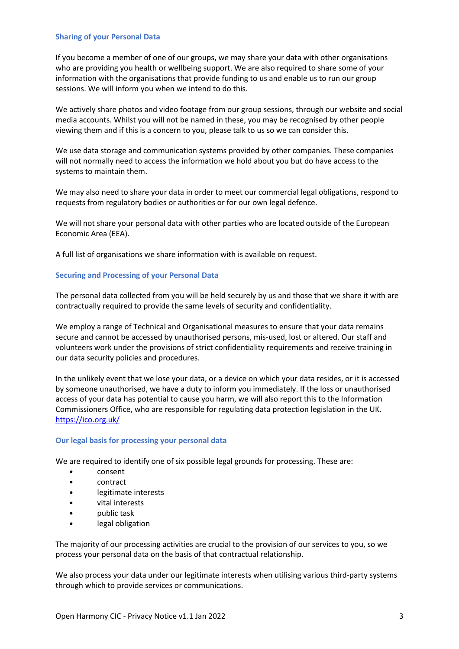#### **Sharing of your Personal Data**

If you become a member of one of our groups, we may share your data with other organisations who are providing you health or wellbeing support. We are also required to share some of your information with the organisations that provide funding to us and enable us to run our group sessions. We will inform you when we intend to do this.

We actively share photos and video footage from our group sessions, through our website and social media accounts. Whilst you will not be named in these, you may be recognised by other people viewing them and if this is a concern to you, please talk to us so we can consider this.

We use data storage and communication systems provided by other companies. These companies will not normally need to access the information we hold about you but do have access to the systems to maintain them.

We may also need to share your data in order to meet our commercial legal obligations, respond to requests from regulatory bodies or authorities or for our own legal defence.

We will not share your personal data with other parties who are located outside of the European Economic Area (EEA).

A full list of organisations we share information with is available on request.

# **Securing and Processing of your Personal Data**

The personal data collected from you will be held securely by us and those that we share it with are contractually required to provide the same levels of security and confidentiality.

We employ a range of Technical and Organisational measures to ensure that your data remains secure and cannot be accessed by unauthorised persons, mis-used, lost or altered. Our staff and volunteers work under the provisions of strict confidentiality requirements and receive training in our data security policies and procedures.

In the unlikely event that we lose your data, or a device on which your data resides, or it is accessed by someone unauthorised, we have a duty to inform you immediately. If the loss or unauthorised access of your data has potential to cause you harm, we will also report this to the Information Commissioners Office, who are responsible for regulating data protection legislation in the UK. <https://ico.org.uk/>

#### **Our legal basis for processing your personal data**

We are required to identify one of six possible legal grounds for processing. These are:

- consent
- contract
- legitimate interests
- vital interests
- public task
- legal obligation

The majority of our processing activities are crucial to the provision of our services to you, so we process your personal data on the basis of that contractual relationship.

We also process your data under our legitimate interests when utilising various third-party systems through which to provide services or communications.